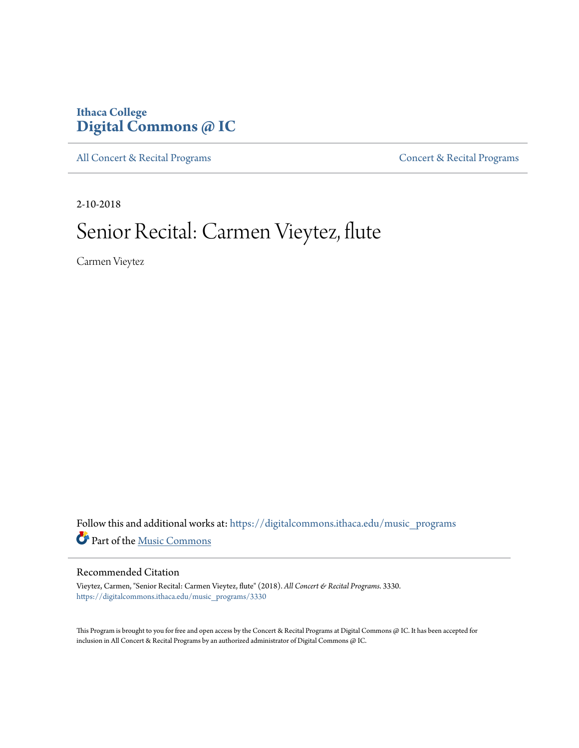## **Ithaca College [Digital Commons @ IC](https://digitalcommons.ithaca.edu?utm_source=digitalcommons.ithaca.edu%2Fmusic_programs%2F3330&utm_medium=PDF&utm_campaign=PDFCoverPages)**

[All Concert & Recital Programs](https://digitalcommons.ithaca.edu/music_programs?utm_source=digitalcommons.ithaca.edu%2Fmusic_programs%2F3330&utm_medium=PDF&utm_campaign=PDFCoverPages) **[Concert & Recital Programs](https://digitalcommons.ithaca.edu/som_programs?utm_source=digitalcommons.ithaca.edu%2Fmusic_programs%2F3330&utm_medium=PDF&utm_campaign=PDFCoverPages)** 

2-10-2018

# Senior Recital: Carmen Vieytez, flute

Carmen Vieytez

 ${\bf Follow~this~and~additional~works~at:~https://digitalcommons.ithaca.edu/music\_programs}$ Part of the [Music Commons](http://network.bepress.com/hgg/discipline/518?utm_source=digitalcommons.ithaca.edu%2Fmusic_programs%2F3330&utm_medium=PDF&utm_campaign=PDFCoverPages)

#### Recommended Citation

Vieytez, Carmen, "Senior Recital: Carmen Vieytez, flute" (2018). *All Concert & Recital Programs*. 3330. [https://digitalcommons.ithaca.edu/music\\_programs/3330](https://digitalcommons.ithaca.edu/music_programs/3330?utm_source=digitalcommons.ithaca.edu%2Fmusic_programs%2F3330&utm_medium=PDF&utm_campaign=PDFCoverPages)

This Program is brought to you for free and open access by the Concert & Recital Programs at Digital Commons @ IC. It has been accepted for inclusion in All Concert & Recital Programs by an authorized administrator of Digital Commons @ IC.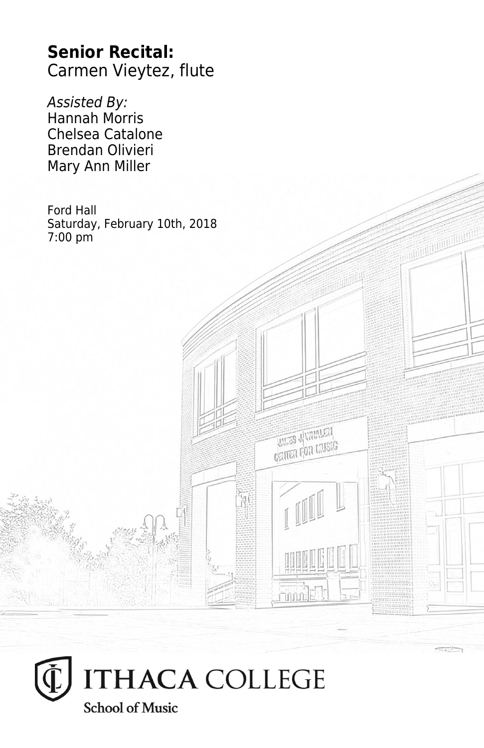